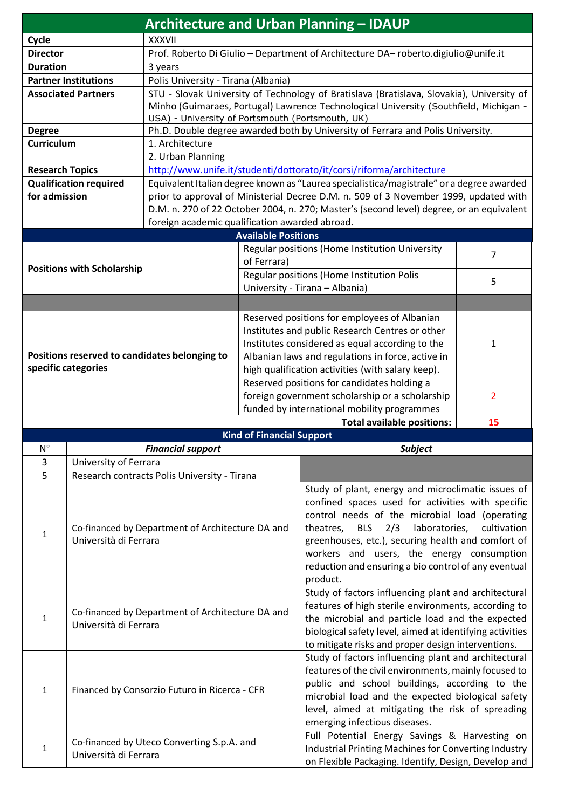|                               |                                                                           |                                                                                                                                           |                                                                      | <b>Architecture and Urban Planning - IDAUP</b>                                                        |              |  |  |
|-------------------------------|---------------------------------------------------------------------------|-------------------------------------------------------------------------------------------------------------------------------------------|----------------------------------------------------------------------|-------------------------------------------------------------------------------------------------------|--------------|--|--|
| Cycle                         |                                                                           | <b>XXXVII</b>                                                                                                                             |                                                                      |                                                                                                       |              |  |  |
| <b>Director</b>               |                                                                           | Prof. Roberto Di Giulio - Department of Architecture DA- roberto.digiulio@unife.it                                                        |                                                                      |                                                                                                       |              |  |  |
| <b>Duration</b>               |                                                                           | 3 years                                                                                                                                   |                                                                      |                                                                                                       |              |  |  |
| <b>Partner Institutions</b>   |                                                                           | Polis University - Tirana (Albania)                                                                                                       |                                                                      |                                                                                                       |              |  |  |
|                               | <b>Associated Partners</b>                                                | STU - Slovak University of Technology of Bratislava (Bratislava, Slovakia), University of                                                 |                                                                      |                                                                                                       |              |  |  |
|                               |                                                                           | Minho (Guimaraes, Portugal) Lawrence Technological University (Southfield, Michigan -<br>USA) - University of Portsmouth (Portsmouth, UK) |                                                                      |                                                                                                       |              |  |  |
| <b>Degree</b>                 |                                                                           | Ph.D. Double degree awarded both by University of Ferrara and Polis University.                                                           |                                                                      |                                                                                                       |              |  |  |
| <b>Curriculum</b>             |                                                                           | 1. Architecture                                                                                                                           |                                                                      |                                                                                                       |              |  |  |
|                               |                                                                           | 2. Urban Planning                                                                                                                         |                                                                      |                                                                                                       |              |  |  |
| <b>Research Topics</b>        |                                                                           |                                                                                                                                           | http://www.unife.it/studenti/dottorato/it/corsi/riforma/architecture |                                                                                                       |              |  |  |
| <b>Qualification required</b> |                                                                           | Equivalent Italian degree known as "Laurea specialistica/magistrale" or a degree awarded                                                  |                                                                      |                                                                                                       |              |  |  |
| for admission                 |                                                                           | prior to approval of Ministerial Decree D.M. n. 509 of 3 November 1999, updated with                                                      |                                                                      |                                                                                                       |              |  |  |
|                               |                                                                           | D.M. n. 270 of 22 October 2004, n. 270; Master's (second level) degree, or an equivalent                                                  |                                                                      |                                                                                                       |              |  |  |
|                               |                                                                           | foreign academic qualification awarded abroad.                                                                                            |                                                                      |                                                                                                       |              |  |  |
|                               |                                                                           |                                                                                                                                           | <b>Available Positions</b>                                           |                                                                                                       |              |  |  |
|                               |                                                                           |                                                                                                                                           |                                                                      | Regular positions (Home Institution University                                                        | 7            |  |  |
|                               | <b>Positions with Scholarship</b>                                         |                                                                                                                                           | of Ferrara)                                                          |                                                                                                       |              |  |  |
|                               |                                                                           |                                                                                                                                           | Regular positions (Home Institution Polis                            |                                                                                                       | 5            |  |  |
|                               |                                                                           |                                                                                                                                           |                                                                      | University - Tirana - Albania)                                                                        |              |  |  |
|                               |                                                                           |                                                                                                                                           |                                                                      |                                                                                                       |              |  |  |
|                               |                                                                           |                                                                                                                                           |                                                                      | Reserved positions for employees of Albanian                                                          |              |  |  |
|                               |                                                                           |                                                                                                                                           |                                                                      | Institutes and public Research Centres or other                                                       |              |  |  |
|                               |                                                                           |                                                                                                                                           |                                                                      | Institutes considered as equal according to the                                                       | $\mathbf{1}$ |  |  |
|                               |                                                                           | Positions reserved to candidates belonging to                                                                                             |                                                                      | Albanian laws and regulations in force, active in                                                     |              |  |  |
|                               | specific categories                                                       |                                                                                                                                           | high qualification activities (with salary keep).                    |                                                                                                       |              |  |  |
|                               |                                                                           |                                                                                                                                           | Reserved positions for candidates holding a                          |                                                                                                       |              |  |  |
|                               |                                                                           |                                                                                                                                           | foreign government scholarship or a scholarship<br>2                 |                                                                                                       |              |  |  |
|                               |                                                                           |                                                                                                                                           | funded by international mobility programmes                          |                                                                                                       |              |  |  |
|                               |                                                                           |                                                                                                                                           |                                                                      | <b>Total available positions:</b>                                                                     | 15           |  |  |
| $N^{\circ}$                   |                                                                           | <b>Financial support</b>                                                                                                                  | <b>Kind of Financial Support</b>                                     | <b>Subject</b>                                                                                        |              |  |  |
| 3                             | University of Ferrara                                                     |                                                                                                                                           |                                                                      |                                                                                                       |              |  |  |
| 5                             |                                                                           | Research contracts Polis University - Tirana                                                                                              |                                                                      |                                                                                                       |              |  |  |
|                               |                                                                           |                                                                                                                                           |                                                                      | Study of plant, energy and microclimatic issues of                                                    |              |  |  |
|                               |                                                                           |                                                                                                                                           |                                                                      | confined spaces used for activities with specific                                                     |              |  |  |
|                               |                                                                           |                                                                                                                                           |                                                                      | control needs of the microbial load (operating                                                        |              |  |  |
|                               | Co-financed by Department of Architecture DA and<br>Università di Ferrara |                                                                                                                                           |                                                                      | <b>BLS</b><br>2/3<br>laboratories,<br>cultivation<br>theatres,                                        |              |  |  |
| 1                             |                                                                           |                                                                                                                                           |                                                                      | greenhouses, etc.), securing health and comfort of                                                    |              |  |  |
|                               |                                                                           |                                                                                                                                           |                                                                      | workers and users, the energy consumption                                                             |              |  |  |
|                               |                                                                           |                                                                                                                                           |                                                                      | reduction and ensuring a bio control of any eventual                                                  |              |  |  |
|                               |                                                                           |                                                                                                                                           |                                                                      | product.                                                                                              |              |  |  |
| 1                             |                                                                           |                                                                                                                                           |                                                                      | Study of factors influencing plant and architectural                                                  |              |  |  |
|                               |                                                                           |                                                                                                                                           |                                                                      | features of high sterile environments, according to                                                   |              |  |  |
|                               | Co-financed by Department of Architecture DA and<br>Università di Ferrara |                                                                                                                                           |                                                                      | the microbial and particle load and the expected                                                      |              |  |  |
|                               |                                                                           |                                                                                                                                           |                                                                      | biological safety level, aimed at identifying activities                                              |              |  |  |
|                               |                                                                           |                                                                                                                                           |                                                                      | to mitigate risks and proper design interventions.                                                    |              |  |  |
|                               | Financed by Consorzio Futuro in Ricerca - CFR                             |                                                                                                                                           |                                                                      | Study of factors influencing plant and architectural                                                  |              |  |  |
| $\mathbf{1}$                  |                                                                           |                                                                                                                                           |                                                                      | features of the civil environments, mainly focused to                                                 |              |  |  |
|                               |                                                                           |                                                                                                                                           |                                                                      | public and school buildings, according to the                                                         |              |  |  |
|                               |                                                                           |                                                                                                                                           |                                                                      | microbial load and the expected biological safety                                                     |              |  |  |
|                               |                                                                           |                                                                                                                                           |                                                                      | level, aimed at mitigating the risk of spreading                                                      |              |  |  |
|                               |                                                                           |                                                                                                                                           |                                                                      | emerging infectious diseases.                                                                         |              |  |  |
|                               | Co-financed by Uteco Converting S.p.A. and                                |                                                                                                                                           |                                                                      | Full Potential Energy Savings & Harvesting on<br>Industrial Printing Machines for Converting Industry |              |  |  |
| $\mathbf{1}$                  | Università di Ferrara                                                     |                                                                                                                                           |                                                                      |                                                                                                       |              |  |  |
|                               |                                                                           |                                                                                                                                           |                                                                      | on Flexible Packaging. Identify, Design, Develop and                                                  |              |  |  |